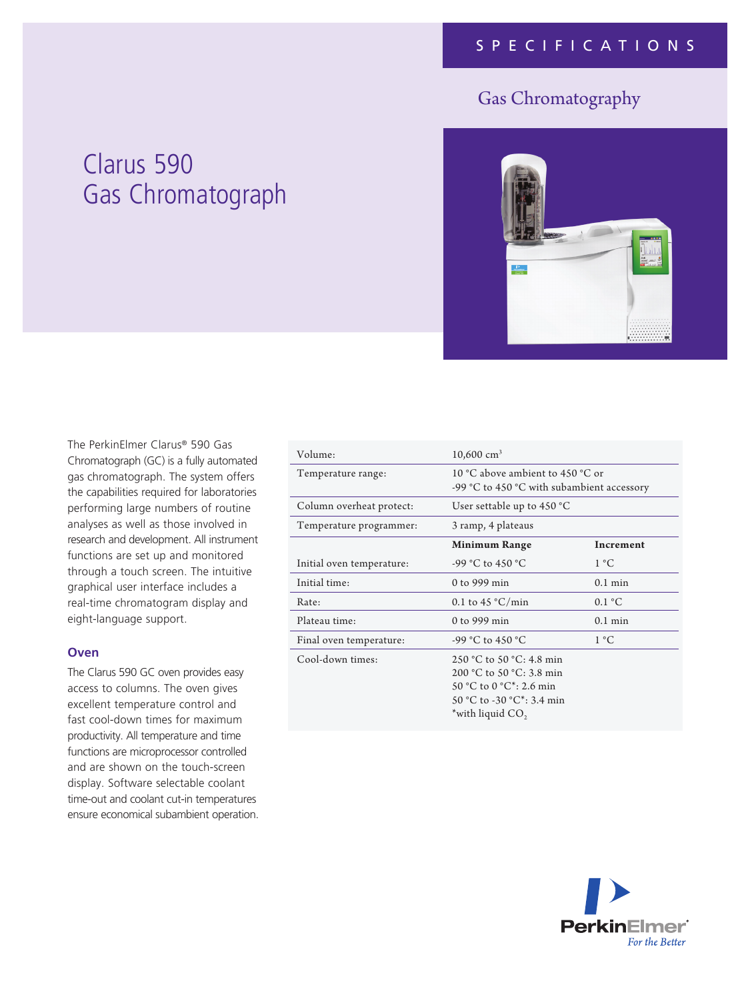# Gas Chromatography

# Clarus 590 Gas Chromatograph



The PerkinElmer Clarus® 590 Gas Chromatograph (GC) is a fully automated gas chromatograph. The system offers the capabilities required for laboratories performing large numbers of routine analyses as well as those involved in research and development. All instrument functions are set up and monitored through a touch screen. The intuitive graphical user interface includes a real-time chromatogram display and eight-language support.

#### **Oven**

The Clarus 590 GC oven provides easy access to columns. The oven gives excellent temperature control and fast cool-down times for maximum productivity. All temperature and time functions are microprocessor controlled and are shown on the touch-screen display. Software selectable coolant time-out and coolant cut-in temperatures ensure economical subambient operation.

| Volume:                   | $10,600$ cm <sup>3</sup>                                                                                                                                   |                         |
|---------------------------|------------------------------------------------------------------------------------------------------------------------------------------------------------|-------------------------|
| Temperature range:        | 10 °C above ambient to 450 °C or<br>-99 °C to 450 °C with subambient accessory                                                                             |                         |
| Column overheat protect:  | User settable up to $450^{\circ}$ C                                                                                                                        |                         |
| Temperature programmer:   | 3 ramp, 4 plateaus                                                                                                                                         |                         |
|                           | <b>Minimum Range</b>                                                                                                                                       | <b>Increment</b>        |
| Initial oven temperature: | $-99$ °C to 450 °C                                                                                                                                         | 1 °C                    |
| Initial time:             | 0 to 999 min                                                                                                                                               | $0.1$ min               |
| Rate:                     | 0.1 to 45 $\degree$ C/min                                                                                                                                  | $0.1 \text{ }^{\circ}C$ |
| Plateau time:             | 0 to 999 min                                                                                                                                               | $0.1$ min               |
| Final oven temperature:   | -99 °C to 450 °C                                                                                                                                           | 1 °C                    |
| Cool-down times:          | 250 °C to 50 °C: 4.8 min<br>200 °C to 50 °C: 3.8 min<br>50 °C to 0 °C <sup>*</sup> : 2.6 min<br>50 °C to -30 °C <sup>*</sup> : 3.4 min<br>*with liquid CO, |                         |

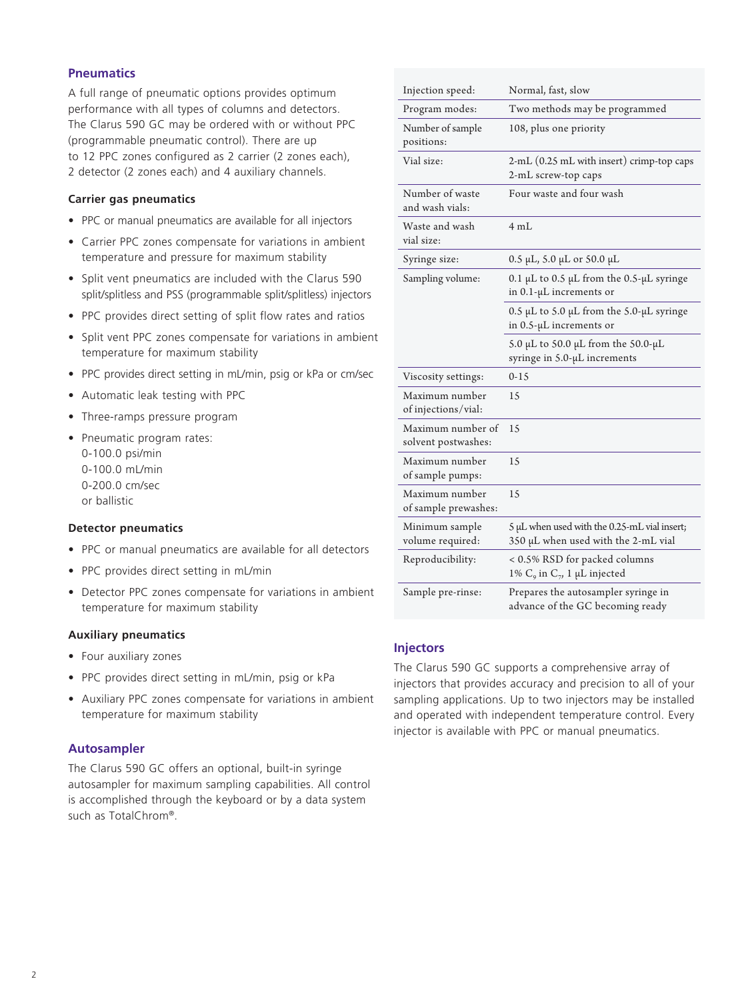# **Pneumatics**

A full range of pneumatic options provides optimum performance with all types of columns and detectors. The Clarus 590 GC may be ordered with or without PPC (programmable pneumatic control). There are up to 12 PPC zones configured as 2 carrier (2 zones each), 2 detector (2 zones each) and 4 auxiliary channels.

#### **Carrier gas pneumatics**

- PPC or manual pneumatics are available for all injectors
- Carrier PPC zones compensate for variations in ambient temperature and pressure for maximum stability
- Split vent pneumatics are included with the Clarus 590 split/splitless and PSS (programmable split/splitless) injectors
- PPC provides direct setting of split flow rates and ratios
- Split vent PPC zones compensate for variations in ambient temperature for maximum stability
- PPC provides direct setting in mL/min, psig or kPa or cm/sec
- Automatic leak testing with PPC
- Three-ramps pressure program
- Pneumatic program rates: 0-100.0 psi/min 0-100.0 mL/min 0-200.0 cm/sec or ballistic

#### **Detector pneumatics**

- PPC or manual pneumatics are available for all detectors
- PPC provides direct setting in mL/min
- Detector PPC zones compensate for variations in ambient temperature for maximum stability

#### **Auxiliary pneumatics**

- Four auxiliary zones
- PPC provides direct setting in mL/min, psig or kPa
- Auxiliary PPC zones compensate for variations in ambient temperature for maximum stability

#### **Autosampler**

The Clarus 590 GC offers an optional, built-in syringe autosampler for maximum sampling capabilities. All control is accomplished through the keyboard or by a data system such as TotalChrom®.

| Injection speed:                         | Normal, fast, slow                                                                  |
|------------------------------------------|-------------------------------------------------------------------------------------|
| Program modes:                           | Two methods may be programmed                                                       |
| Number of sample<br>positions:           | 108, plus one priority                                                              |
| Vial size:                               | 2-mL (0.25 mL with insert) crimp-top caps<br>2-mL screw-top caps                    |
| Number of waste<br>and wash vials:       | Four waste and four wash                                                            |
| Waste and wash<br>vial size:             | 4 mL                                                                                |
| Syringe size:                            | 0.5 μL, 5.0 μL or 50.0 μL                                                           |
| Sampling volume:                         | 0.1 µL to 0.5 µL from the 0.5-µL syringe<br>in $0.1$ - $\mu$ L increments or        |
|                                          | 0.5 µL to 5.0 µL from the 5.0-µL syringe<br>in $0.5$ - $\mu$ L increments or        |
|                                          | 5.0 µL to 50.0 µL from the 50.0-µL<br>syringe in 5.0-μL increments                  |
| Viscosity settings:                      | $0-15$                                                                              |
| Maximum number<br>of injections/vial:    | 1.5                                                                                 |
| Maximum number of<br>solvent postwashes: | 15                                                                                  |
| Maximum number<br>of sample pumps:       | 15                                                                                  |
| Maximum number<br>of sample prewashes:   | 15                                                                                  |
| Minimum sample<br>volume required:       | 5 µL when used with the 0.25-mL vial insert;<br>350 µL when used with the 2-mL vial |
| Reproducibility:                         | < 0.5% RSD for packed columns<br>1% $C_9$ in $C_7$ , 1 µL injected                  |
| Sample pre-rinse:                        | Prepares the autosampler syringe in<br>advance of the GC becoming ready             |

# **Injectors**

The Clarus 590 GC supports a comprehensive array of injectors that provides accuracy and precision to all of your sampling applications. Up to two injectors may be installed and operated with independent temperature control. Every injector is available with PPC or manual pneumatics.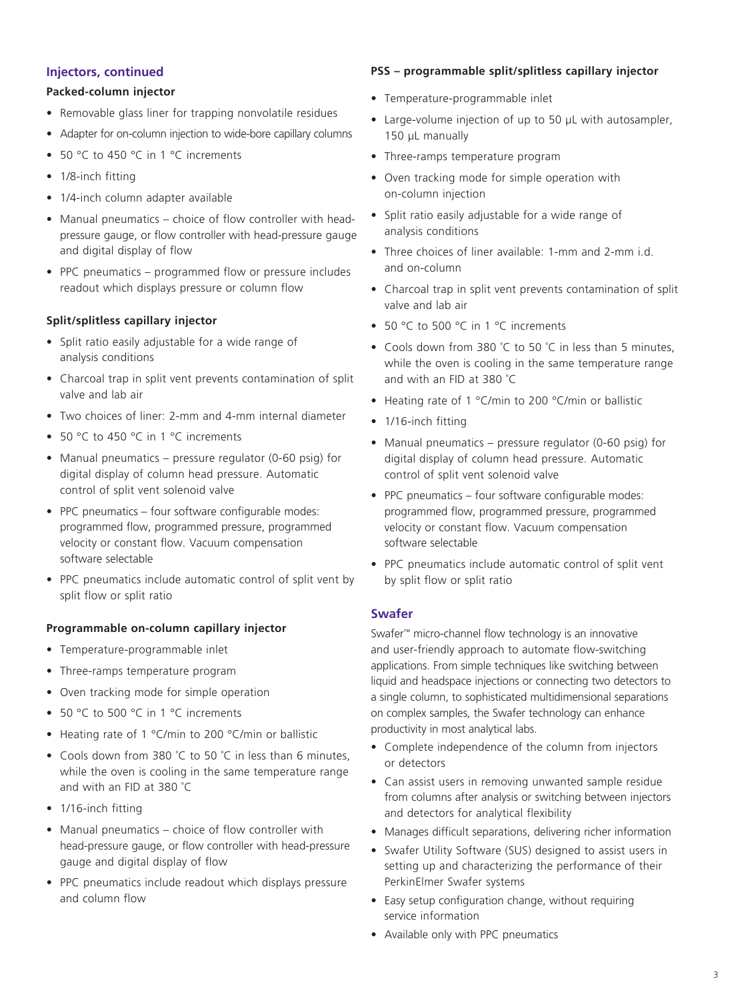#### **Injectors, continued**

# **Packed-column injector**

- Removable glass liner for trapping nonvolatile residues
- Adapter for on-column injection to wide-bore capillary columns
- 50 °C to 450 °C in 1 °C increments
- 1/8-inch fitting
- 1/4-inch column adapter available
- Manual pneumatics choice of flow controller with headpressure gauge, or flow controller with head-pressure gauge and digital display of flow
- PPC pneumatics programmed flow or pressure includes readout which displays pressure or column flow

#### **Split/splitless capillary injector**

- Split ratio easily adjustable for a wide range of analysis conditions
- Charcoal trap in split vent prevents contamination of split valve and lab air
- Two choices of liner: 2-mm and 4-mm internal diameter
- 50 °C to 450 °C in 1 °C increments
- Manual pneumatics pressure regulator (0-60 psig) for digital display of column head pressure. Automatic control of split vent solenoid valve
- PPC pneumatics four software configurable modes: programmed flow, programmed pressure, programmed velocity or constant flow. Vacuum compensation software selectable
- PPC pneumatics include automatic control of split vent by split flow or split ratio

#### **Programmable on-column capillary injector**

- Temperature-programmable inlet
- Three-ramps temperature program
- Oven tracking mode for simple operation
- 50 °C to 500 °C in 1 °C increments
- Heating rate of 1 °C/min to 200 °C/min or ballistic
- Cools down from 380 °C to 50 °C in less than 6 minutes, while the oven is cooling in the same temperature range and with an FID at 380 ˚C
- 1/16-inch fitting
- Manual pneumatics choice of flow controller with head-pressure gauge, or flow controller with head-pressure gauge and digital display of flow
- PPC pneumatics include readout which displays pressure and column flow

#### **PSS – programmable split/splitless capillary injector**

- Temperature-programmable inlet
- Large-volume injection of up to 50 µL with autosampler, 150 µL manually
- Three-ramps temperature program
- Oven tracking mode for simple operation with on-column injection
- Split ratio easily adjustable for a wide range of analysis conditions
- Three choices of liner available: 1-mm and 2-mm i.d. and on-column
- Charcoal trap in split vent prevents contamination of split valve and lab air
- 50 °C to 500 °C in 1 °C increments
- Cools down from 380 °C to 50 °C in less than 5 minutes, while the oven is cooling in the same temperature range and with an FID at 380 ˚C
- Heating rate of 1 °C/min to 200 °C/min or ballistic
- 1/16-inch fitting
- Manual pneumatics pressure regulator (0-60 psig) for digital display of column head pressure. Automatic control of split vent solenoid valve
- PPC pneumatics four software configurable modes: programmed flow, programmed pressure, programmed velocity or constant flow. Vacuum compensation software selectable
- PPC pneumatics include automatic control of split vent by split flow or split ratio

#### **Swafer**

Swafer™ micro-channel flow technology is an innovative and user-friendly approach to automate flow-switching applications. From simple techniques like switching between liquid and headspace injections or connecting two detectors to a single column, to sophisticated multidimensional separations on complex samples, the Swafer technology can enhance productivity in most analytical labs.

- Complete independence of the column from injectors or detectors
- Can assist users in removing unwanted sample residue from columns after analysis or switching between injectors and detectors for analytical flexibility
- Manages difficult separations, delivering richer information
- Swafer Utility Software (SUS) designed to assist users in setting up and characterizing the performance of their PerkinElmer Swafer systems
- Easy setup configuration change, without requiring service information
- Available only with PPC pneumatics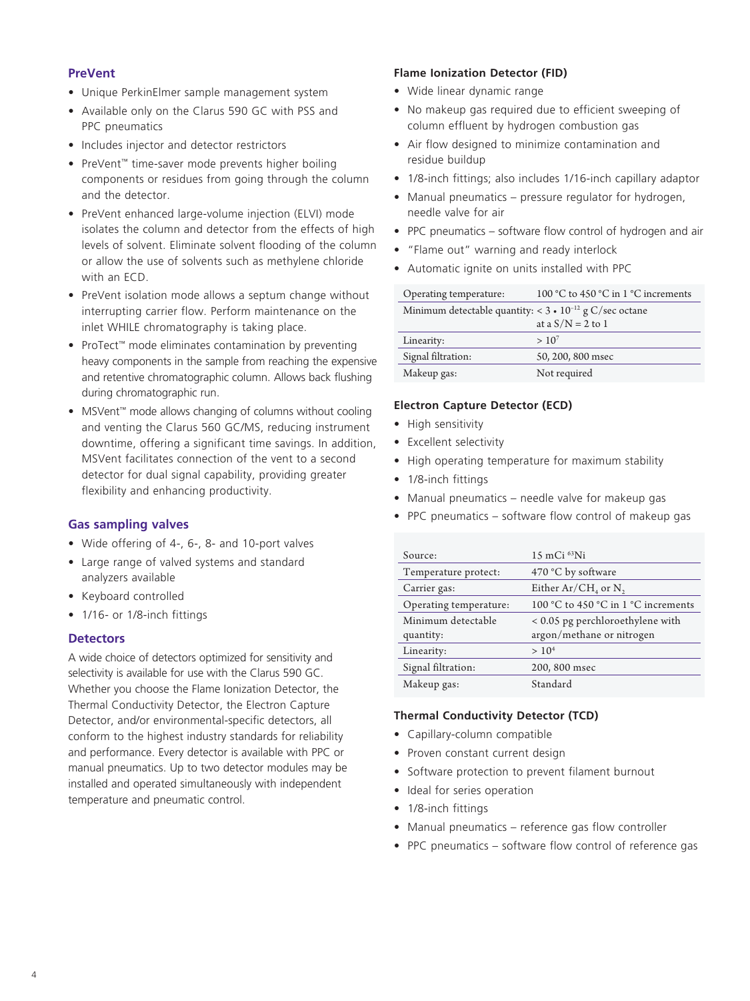# **PreVent**

- Unique PerkinElmer sample management system
- Available only on the Clarus 590 GC with PSS and PPC pneumatics
- Includes injector and detector restrictors
- PreVent™ time-saver mode prevents higher boiling components or residues from going through the column and the detector.
- PreVent enhanced large-volume injection (ELVI) mode isolates the column and detector from the effects of high levels of solvent. Eliminate solvent flooding of the column or allow the use of solvents such as methylene chloride with an ECD.
- PreVent isolation mode allows a septum change without interrupting carrier flow. Perform maintenance on the inlet WHILE chromatography is taking place.
- ProTect™ mode eliminates contamination by preventing heavy components in the sample from reaching the expensive and retentive chromatographic column. Allows back flushing during chromatographic run.
- MSVent™ mode allows changing of columns without cooling and venting the Clarus 560 GC/MS, reducing instrument downtime, offering a significant time savings. In addition, MSVent facilitates connection of the vent to a second detector for dual signal capability, providing greater flexibility and enhancing productivity.

# **Gas sampling valves**

- Wide offering of 4-, 6-, 8- and 10-port valves
- Large range of valved systems and standard analyzers available
- Keyboard controlled
- 1/16- or 1/8-inch fittings

# **Detectors**

A wide choice of detectors optimized for sensitivity and selectivity is available for use with the Clarus 590 GC. Whether you choose the Flame Ionization Detector, the Thermal Conductivity Detector, the Electron Capture Detector, and/or environmental-specific detectors, all conform to the highest industry standards for reliability and performance. Every detector is available with PPC or manual pneumatics. Up to two detector modules may be installed and operated simultaneously with independent temperature and pneumatic control.

#### **Flame Ionization Detector (FID)**

- Wide linear dynamic range
- No makeup gas required due to efficient sweeping of column effluent by hydrogen combustion gas
- Air flow designed to minimize contamination and residue buildup
- 1/8-inch fittings; also includes 1/16-inch capillary adaptor
- Manual pneumatics pressure regulator for hydrogen, needle valve for air
- PPC pneumatics software flow control of hydrogen and air
- "Flame out" warning and ready interlock
- Automatic ignite on units installed with PPC

| Operating temperature:                                           | 100 °C to 450 °C in 1 °C increments |
|------------------------------------------------------------------|-------------------------------------|
| Minimum detectable quantity: < $3 \cdot 10^{-12}$ g C/sec octane |                                     |
|                                                                  | at a $S/N = 2$ to 1                 |
| Linearity:                                                       | $> 10^{7}$                          |
| Signal filtration:                                               | 50, 200, 800 msec                   |
| Makeup gas:                                                      | Not required                        |

#### **Electron Capture Detector (ECD)**

- High sensitivity
- Excellent selectivity
- High operating temperature for maximum stability
- 1/8-inch fittings
- Manual pneumatics needle valve for makeup gas
- PPC pneumatics software flow control of makeup gas

| Source:                | $15 \text{ mCi}$ 63Ni               |
|------------------------|-------------------------------------|
| Temperature protect:   | 470 °C by software                  |
| Carrier gas:           | Either $Ar/CH4$ or N,               |
| Operating temperature: | 100 °C to 450 °C in 1 °C increments |
| Minimum detectable     | < 0.05 pg perchloroethylene with    |
| quantity:              | argon/methane or nitrogen           |
| Linearity:             | > 10 <sup>4</sup>                   |
| Signal filtration:     | 200, 800 msec                       |
| Makeup gas:            | Standard                            |

# **Thermal Conductivity Detector (TCD)**

- Capillary-column compatible
- Proven constant current design
- Software protection to prevent filament burnout
- Ideal for series operation
- 1/8-inch fittings
- Manual pneumatics reference gas flow controller
- PPC pneumatics software flow control of reference gas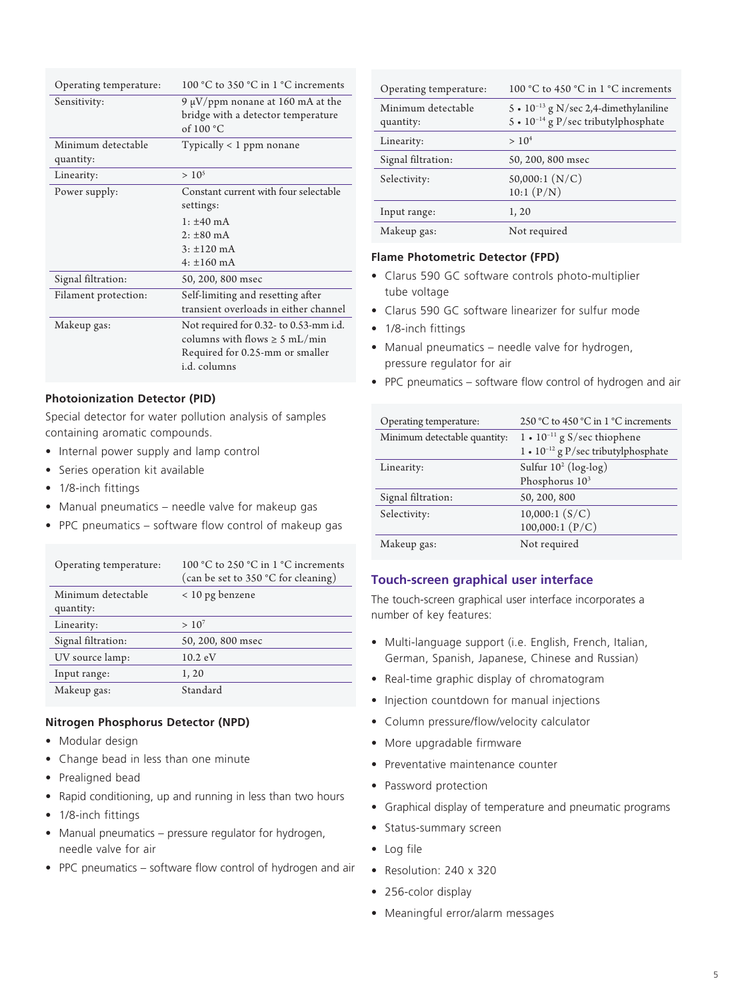| Operating temperature:          | 100 °C to 350 °C in 1 °C increments                                                                                             |
|---------------------------------|---------------------------------------------------------------------------------------------------------------------------------|
| Sensitivity:                    | 9 $\mu$ V/ppm nonane at 160 mA at the<br>bridge with a detector temperature<br>of $100 °C$                                      |
| Minimum detectable<br>quantity: | Typically < 1 ppm nonane                                                                                                        |
| Linearity:                      | $> 10^5$                                                                                                                        |
| Power supply:                   | Constant current with four selectable<br>settings:                                                                              |
|                                 | $1: \pm 40 \text{ mA}$                                                                                                          |
|                                 | $2: \pm 80 \text{ mA}$                                                                                                          |
|                                 | $3: \pm 120$ mA                                                                                                                 |
|                                 | $4: \pm 160 \text{ mA}$                                                                                                         |
| Signal filtration:              | 50, 200, 800 msec                                                                                                               |
| Filament protection:            | Self-limiting and resetting after<br>transient overloads in either channel                                                      |
| Makeup gas:                     | Not required for 0.32- to 0.53-mm i.d.<br>columns with flows $\geq$ 5 mL/min<br>Required for 0.25-mm or smaller<br>i.d. columns |

#### **Photoionization Detector (PID)**

Special detector for water pollution analysis of samples containing aromatic compounds.

- Internal power supply and lamp control
- Series operation kit available
- 1/8-inch fittings
- Manual pneumatics needle valve for makeup gas
- PPC pneumatics software flow control of makeup gas

| Operating temperature:          | 100 °C to 250 °C in 1 °C increments<br>(can be set to 350 °C for cleaning) |
|---------------------------------|----------------------------------------------------------------------------|
| Minimum detectable<br>quantity: | $< 10$ pg benzene                                                          |
| Linearity:                      | $> 10^7$                                                                   |
| Signal filtration:              | 50, 200, 800 msec                                                          |
| UV source lamp:                 | $10.2 \text{ eV}$                                                          |
| Input range:                    | 1, 20                                                                      |
| Makeup gas:                     | Standard                                                                   |

#### **Nitrogen Phosphorus Detector (NPD)**

- Modular design
- Change bead in less than one minute
- Prealigned bead
- Rapid conditioning, up and running in less than two hours
- 1/8-inch fittings
- Manual pneumatics pressure regulator for hydrogen, needle valve for air
- PPC pneumatics software flow control of hydrogen and air

| Operating temperature:          | 100 °C to 450 °C in $1$ °C increments                                                  |
|---------------------------------|----------------------------------------------------------------------------------------|
| Minimum detectable<br>quantity: | 5 • $10^{-13}$ g N/sec 2,4-dimethylaniline<br>5 • $10^{-14}$ g P/sec tributylphosphate |
| Linearity:                      | > 10 <sup>4</sup>                                                                      |
| Signal filtration:              | 50, 200, 800 msec                                                                      |
| Selectivity:                    | 50,000:1(N/C)<br>10:1(P/N)                                                             |
| Input range:                    | 1,20                                                                                   |
| Makeup gas:                     | Not required                                                                           |

# **Flame Photometric Detector (FPD)**

- Clarus 590 GC software controls photo-multiplier tube voltage
- Clarus 590 GC software linearizer for sulfur mode
- 1/8-inch fittings
- Manual pneumatics needle valve for hydrogen, pressure regulator for air
- PPC pneumatics software flow control of hydrogen and air

| Operating temperature:       | 250 °C to 450 °C in 1 °C increments          |
|------------------------------|----------------------------------------------|
| Minimum detectable quantity: | 1 • $10^{-11}$ g S/sec thiophene             |
|                              | $1 \cdot 10^{-12}$ g P/sec tributylphosphate |
| Linearity:                   | Sulfur $10^2$ (log-log)                      |
|                              | Phosphorus 10 <sup>3</sup>                   |
| Signal filtration:           | 50, 200, 800                                 |
| Selectivity:                 | 10,000:1(S/C)                                |
|                              | 100,000:1(P/C)                               |
| Makeup gas:                  | Not required                                 |

# **Touch-screen graphical user interface**

The touch-screen graphical user interface incorporates a number of key features:

- Multi-language support (i.e. English, French, Italian, German, Spanish, Japanese, Chinese and Russian)
- Real-time graphic display of chromatogram
- Injection countdown for manual injections
- Column pressure/flow/velocity calculator
- More upgradable firmware
- Preventative maintenance counter
- Password protection
- Graphical display of temperature and pneumatic programs
- Status-summary screen
- Log file
- Resolution: 240 x 320
- 256-color display
- Meaningful error/alarm messages